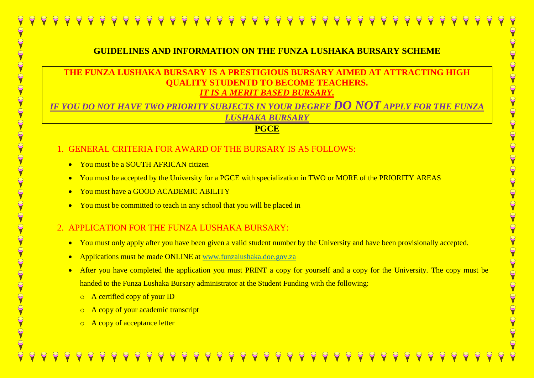## **GUIDELINES AND INFORMATION ON THE FUNZA LUSHAKA BURSARY SCHEME**

## **THE FUNZA LUSHAKA BURSARY IS A PRESTIGIOUS BURSARY AIMED AT ATTRACTING HIGH DENTD TO BECOME TEACHERS.** *IT IS A MERIT BASED BURSARY.*

*IF YOU DO NOT HAVE TWO PRIORITY SUBJECTS IN YOUR DEGREE DO NOT APPLY FOR THE FUNZA LUSHAKA BURSARY*

### **PGCE**

- 1. GENERAL CRITERIA FOR AWARD OF THE BURSARY IS AS FOLLOWS:
	- You must be a SOUTH AFRICAN citizen
	- You must be accepted by the University for a PGCE with specialization in TWO or MORE of the PRIORITY AREAS
	- You must have a GOOD ACADEMIC ABILITY
	- You must be committed to teach in any school that you will be placed in

# 2. APPLICATION FOR THE FUNZA LUSHAKA BURSARY:

- You must only apply after you have been given a valid student number by the University and have been provisionally accepted.
- Applications must be made ONLINE at [www.funzalushaka.doe.gov.za](http://www.funzalushaka.doe.gov.za/)
- After you have completed the application you must PRINT a copy for yourself and a copy for the University. The copy must be handed to the Funza Lushaka Bursary administrator at the Student Funding with the following:
	- o A certified copy of your ID
	- o A copy of your academic transcript
	- o A copy of acceptance letter

 $\Theta$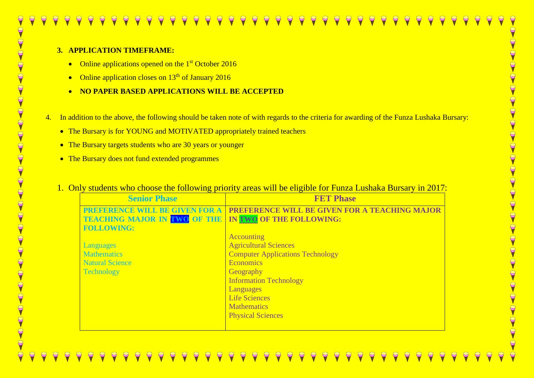#### **3. APPLICATION TIMEFRAME:**

- Online applications opened on the 1<sup>st</sup> October 2016
- Online application closes on  $13<sup>th</sup>$  of January 2016
- **NO PAPER BASED APPLICATIONS WILL BE ACCEPTED**
- 4. In addition to the above, the following should be taken note of with regards to the criteria for awarding of the Funza Lushaka Bursary:
	- The Bursary is for YOUNG and MOTIVATED appropriately trained teachers
	- The Bursary targets students who are 30 years or younger
	- The Bursary does not fund extended programmes
	- 1. Only students who choose the following priority areas will be eligible for Funza Lushaka Bursary in 2017:

| <b>Senior Phase</b>                                          | <b>FET Phase</b>                                     |
|--------------------------------------------------------------|------------------------------------------------------|
| <b>PREFERENCE WILL BE GIVEN FOR A</b>                        | <b>PREFERENCE WILL BE GIVEN FOR A TEACHING MAJOR</b> |
| <b>TEACHING MAJOR IN TWO OF THE IN TWO OF THE FOLLOWING:</b> |                                                      |
| <b>FOLLOWING:</b>                                            |                                                      |
|                                                              | <b>Accounting</b>                                    |
| <b>Languages</b>                                             | <b>Agricultural Sciences</b>                         |
| <b>Mathematics</b>                                           | <b>Computer Applications Technology</b>              |
| <b>Natural Science</b>                                       | <b>Economics</b>                                     |
| Technology                                                   | <b>Geography</b>                                     |
|                                                              | <b>Information Technology</b>                        |
|                                                              | Languages                                            |
|                                                              | <b>Life Sciences</b>                                 |
|                                                              | <b>Mathematics</b>                                   |
|                                                              | <b>Physical Sciences</b>                             |
|                                                              |                                                      |

OVOVOVOVOVOVOVOVOVOVOVOVOVOVOVOVOVOVO  $\Theta$ 9 E  $\Theta$  $\Theta$ S  $\Theta$  $\overline{C}$  $\Theta$ 9 S  $\overline{C}$ 9  $\overline{C}$ 9  $\Theta$  $\Theta$ 9 S  $\Theta$  $\Theta$ 9 9  $\Theta$  $\Theta$  $\Theta$  $\overline{C}$ 8  $\Theta$ 9 S  $\infty$